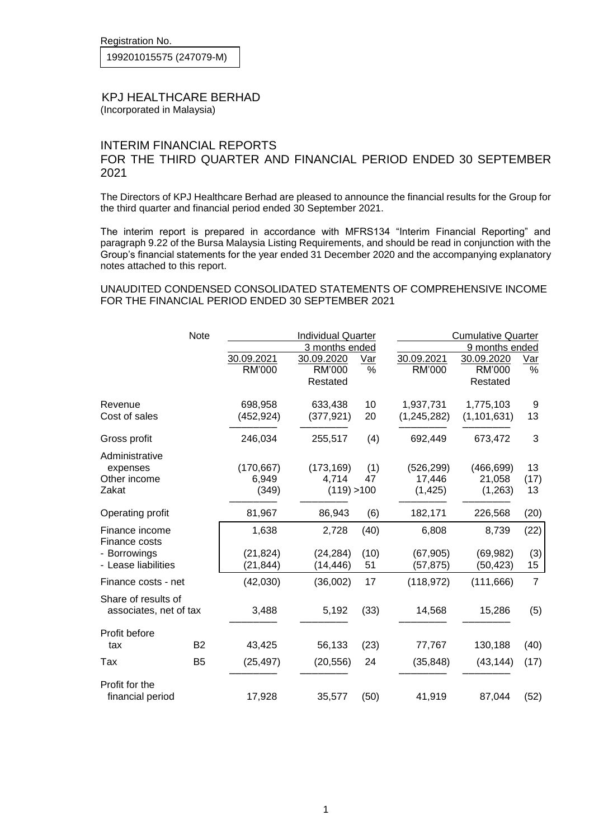Registration No.

199201015575 (247079-M)

## KPJ HEALTHCARE BERHAD

(Incorporated in Malaysia)

## INTERIM FINANCIAL REPORTS FOR THE THIRD QUARTER AND FINANCIAL PERIOD ENDED 30 SEPTEMBER 2021

The Directors of KPJ Healthcare Berhad are pleased to announce the financial results for the Group for the third quarter and financial period ended 30 September 2021.

The interim report is prepared in accordance with MFRS134 "Interim Financial Reporting" and paragraph 9.22 of the Bursa Malaysia Listing Requirements, and should be read in conjunction with the Group's financial statements for the year ended 31 December 2020 and the accompanying explanatory notes attached to this report.

UNAUDITED CONDENSED CONSOLIDATED STATEMENTS OF COMPREHENSIVE INCOME FOR THE FINANCIAL PERIOD ENDED 30 SEPTEMBER 2021

|                                    | <b>Note</b>    | <b>Individual Quarter</b><br>3 months ended |             |      | <b>Cumulative Quarter</b><br>9 months ended |               |                |
|------------------------------------|----------------|---------------------------------------------|-------------|------|---------------------------------------------|---------------|----------------|
|                                    |                |                                             |             |      |                                             |               |                |
|                                    |                | 30.09.2021                                  | 30.09.2020  | Var  | 30.09.2021                                  | 30.09.2020    | $Var$          |
|                                    |                | RM'000                                      | RM'000      | %    | RM'000                                      | RM'000        | $\%$           |
|                                    |                |                                             | Restated    |      |                                             | Restated      |                |
| Revenue                            |                | 698,958                                     | 633,438     | 10   | 1,937,731                                   | 1,775,103     | 9              |
| Cost of sales                      |                | (452, 924)                                  | (377, 921)  | 20   | (1, 245, 282)                               | (1, 101, 631) | 13             |
| Gross profit                       |                | 246,034                                     | 255,517     | (4)  | 692,449                                     | 673,472       | 3              |
| Administrative                     |                |                                             |             |      |                                             |               |                |
| expenses                           |                | (170, 667)                                  | (173, 169)  | (1)  | (526, 299)                                  | (466, 699)    | 13             |
| Other income                       |                | 6,949                                       | 4,714       | 47   | 17,446                                      | 21,058        | (17)           |
| Zakat                              |                | (349)                                       | (119) > 100 |      | (1, 425)                                    | (1,263)       | 13             |
| Operating profit                   |                | 81,967                                      | 86,943      | (6)  | 182,171                                     | 226,568       | (20)           |
| Finance income<br>Finance costs    |                | 1,638                                       | 2,728       | (40) | 6,808                                       | 8,739         | (22)           |
| - Borrowings                       |                | (21, 824)                                   | (24, 284)   | (10) | (67, 905)                                   | (69, 982)     | (3)            |
| - Lease liabilities                |                | (21, 844)                                   | (14, 446)   | 51   | (57, 875)                                   | (50, 423)     |                |
|                                    |                |                                             |             |      |                                             |               | 15             |
| Finance costs - net                |                | (42,030)                                    | (36,002)    | 17   | (118, 972)                                  | (111, 666)    | $\overline{7}$ |
| Share of results of                |                |                                             |             |      |                                             |               |                |
| associates, net of tax             |                | 3,488                                       | 5,192       | (33) | 14,568                                      | 15,286        | (5)            |
| Profit before                      |                |                                             |             |      |                                             |               |                |
| tax                                | B <sub>2</sub> | 43,425                                      | 56,133      | (23) | 77,767                                      | 130,188       | (40)           |
| Tax                                | B <sub>5</sub> | (25, 497)                                   | (20, 556)   | 24   | (35, 848)                                   | (43, 144)     | (17)           |
| Profit for the<br>financial period |                | 17,928                                      | 35,577      | (50) | 41,919                                      | 87,044        | (52)           |
|                                    |                |                                             |             |      |                                             |               |                |